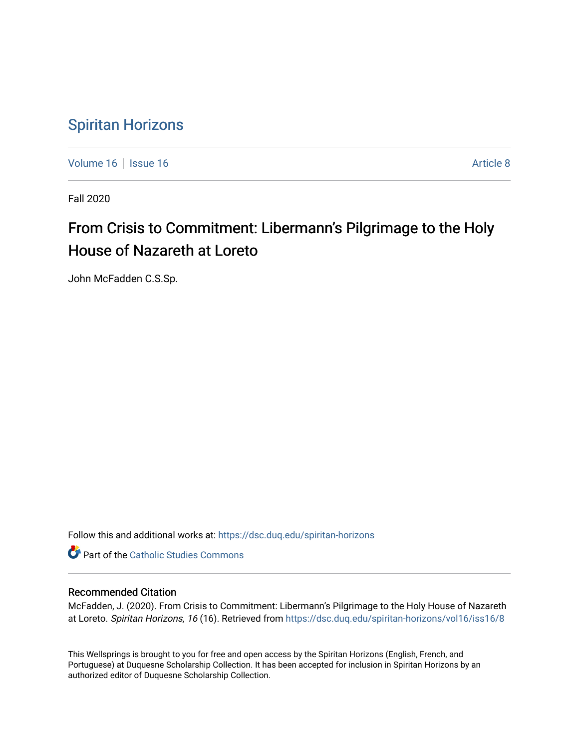# [Spiritan Horizons](https://dsc.duq.edu/spiritan-horizons)

[Volume 16](https://dsc.duq.edu/spiritan-horizons/vol16) | [Issue 16](https://dsc.duq.edu/spiritan-horizons/vol16/iss16) | **Article 8** Article 8

Fall 2020

# From Crisis to Commitment: Libermann's Pilgrimage to the Holy House of Nazareth at Loreto

John McFadden C.S.Sp.

Follow this and additional works at: [https://dsc.duq.edu/spiritan-horizons](https://dsc.duq.edu/spiritan-horizons?utm_source=dsc.duq.edu%2Fspiritan-horizons%2Fvol16%2Fiss16%2F8&utm_medium=PDF&utm_campaign=PDFCoverPages)

**Part of the [Catholic Studies Commons](http://network.bepress.com/hgg/discipline/1294?utm_source=dsc.duq.edu%2Fspiritan-horizons%2Fvol16%2Fiss16%2F8&utm_medium=PDF&utm_campaign=PDFCoverPages)** 

## Recommended Citation

McFadden, J. (2020). From Crisis to Commitment: Libermann's Pilgrimage to the Holy House of Nazareth at Loreto. Spiritan Horizons, 16 (16). Retrieved from [https://dsc.duq.edu/spiritan-horizons/vol16/iss16/8](https://dsc.duq.edu/spiritan-horizons/vol16/iss16/8?utm_source=dsc.duq.edu%2Fspiritan-horizons%2Fvol16%2Fiss16%2F8&utm_medium=PDF&utm_campaign=PDFCoverPages) 

This Wellsprings is brought to you for free and open access by the Spiritan Horizons (English, French, and Portuguese) at Duquesne Scholarship Collection. It has been accepted for inclusion in Spiritan Horizons by an authorized editor of Duquesne Scholarship Collection.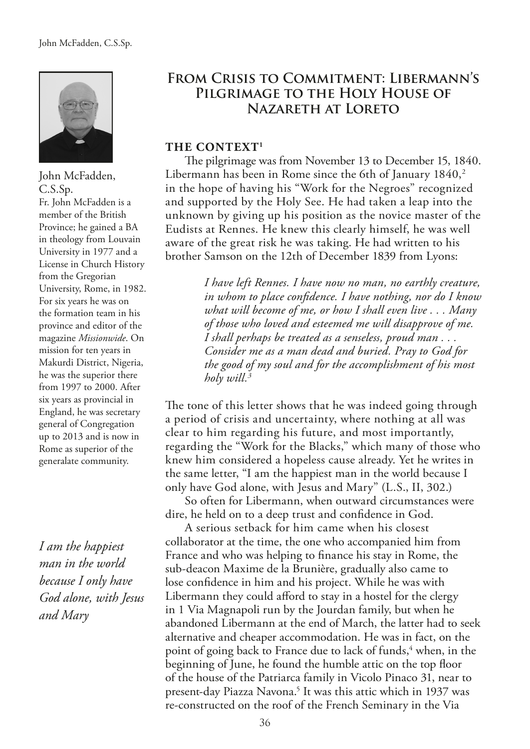

John McFadden, C.S.Sp. Fr. John McFadden is a member of the British Province; he gained a BA in theology from Louvain University in 1977 and a License in Church History from the Gregorian University, Rome, in 1982. For six years he was on the formation team in his province and editor of the magazine *Missionwide*. On mission for ten years in Makurdi District, Nigeria, he was the superior there from 1997 to 2000. After six years as provincial in England, he was secretary general of Congregation up to 2013 and is now in Rome as superior of the generalate community.

*I am the happiest man in the world because I only have God alone, with Jesus and Mary*

# **From Crisis to Commitment: Libermann's Pilgrimage to the Holy House of Nazareth at Loreto**

### **THE CONTEXT1**

The pilgrimage was from November 13 to December 15, 1840. Libermann has been in Rome since the 6th of January  $1840$ ,<sup>2</sup> in the hope of having his "Work for the Negroes" recognized and supported by the Holy See. He had taken a leap into the unknown by giving up his position as the novice master of the Eudists at Rennes. He knew this clearly himself, he was well aware of the great risk he was taking. He had written to his brother Samson on the 12th of December 1839 from Lyons:

> *I have left Rennes. I have now no man, no earthly creature, in whom to place confdence. I have nothing, nor do I know what will become of me, or how I shall even live . . . Many of those who loved and esteemed me will disapprove of me. I shall perhaps be treated as a senseless, proud man . . . Consider me as a man dead and buried. Pray to God for the good of my soul and for the accomplishment of his most holy will.3*

The tone of this letter shows that he was indeed going through a period of crisis and uncertainty, where nothing at all was clear to him regarding his future, and most importantly, regarding the "Work for the Blacks," which many of those who knew him considered a hopeless cause already. Yet he writes in the same letter, "I am the happiest man in the world because I only have God alone, with Jesus and Mary" (L.S., II, 302.)

So often for Libermann, when outward circumstances were dire, he held on to a deep trust and confdence in God.

A serious setback for him came when his closest collaborator at the time, the one who accompanied him from France and who was helping to fnance his stay in Rome, the sub-deacon Maxime de la Brunière, gradually also came to lose confdence in him and his project. While he was with Libermann they could afford to stay in a hostel for the clergy in 1 Via Magnapoli run by the Jourdan family, but when he abandoned Libermann at the end of March, the latter had to seek alternative and cheaper accommodation. He was in fact, on the point of going back to France due to lack of funds,<sup>4</sup> when, in the beginning of June, he found the humble attic on the top floor of the house of the Patriarca family in Vicolo Pinaco 31, near to present-day Piazza Navona.<sup>5</sup> It was this attic which in 1937 was re-constructed on the roof of the French Seminary in the Via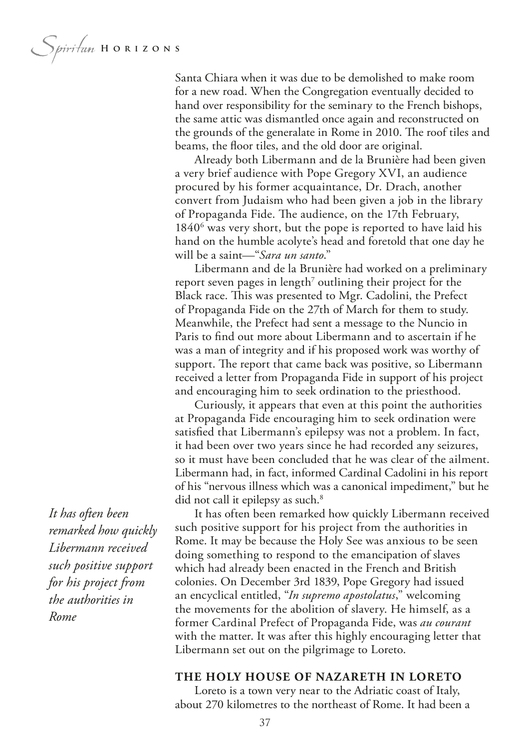Spiritan HORIZONS

Santa Chiara when it was due to be demolished to make room for a new road. When the Congregation eventually decided to hand over responsibility for the seminary to the French bishops, the same attic was dismantled once again and reconstructed on the grounds of the generalate in Rome in 2010. The roof tiles and beams, the foor tiles, and the old door are original.

Already both Libermann and de la Brunière had been given a very brief audience with Pope Gregory XVI, an audience procured by his former acquaintance, Dr. Drach, another convert from Judaism who had been given a job in the library of Propaganda Fide. The audience, on the 17th February, 1840<sup>6</sup> was very short, but the pope is reported to have laid his hand on the humble acolyte's head and foretold that one day he will be a saint—"*Sara un santo*."

Libermann and de la Brunière had worked on a preliminary report seven pages in length<sup>7</sup> outlining their project for the Black race. This was presented to Mgr. Cadolini, the Prefect of Propaganda Fide on the 27th of March for them to study. Meanwhile, the Prefect had sent a message to the Nuncio in Paris to fnd out more about Libermann and to ascertain if he was a man of integrity and if his proposed work was worthy of support. The report that came back was positive, so Libermann received a letter from Propaganda Fide in support of his project and encouraging him to seek ordination to the priesthood.

Curiously, it appears that even at this point the authorities at Propaganda Fide encouraging him to seek ordination were satisfed that Libermann's epilepsy was not a problem. In fact, it had been over two years since he had recorded any seizures, so it must have been concluded that he was clear of the ailment. Libermann had, in fact, informed Cardinal Cadolini in his report of his "nervous illness which was a canonical impediment," but he did not call it epilepsy as such.<sup>8</sup>

It has often been remarked how quickly Libermann received such positive support for his project from the authorities in Rome. It may be because the Holy See was anxious to be seen doing something to respond to the emancipation of slaves which had already been enacted in the French and British colonies. On December 3rd 1839, Pope Gregory had issued an encyclical entitled, "*In supremo apostolatus*," welcoming the movements for the abolition of slavery. He himself, as a former Cardinal Prefect of Propaganda Fide, was *au courant* with the matter. It was after this highly encouraging letter that Libermann set out on the pilgrimage to Loreto.

#### **THE HOLY HOUSE OF NAZARETH IN LORETO**

Loreto is a town very near to the Adriatic coast of Italy, about 270 kilometres to the northeast of Rome. It had been a

*It has often been remarked how quickly Libermann received such positive support for his project from the authorities in Rome*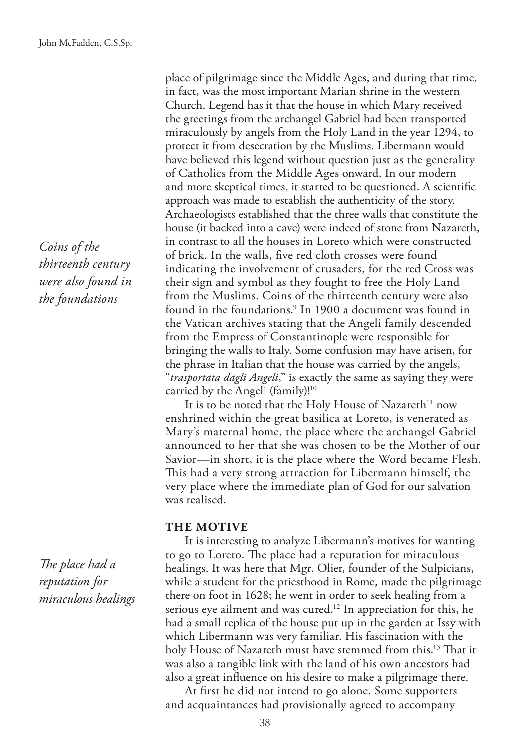*Coins of the thirteenth century were also found in the foundations*

The place had a *reputation for miraculous healings*

place of pilgrimage since the Middle Ages, and during that time, in fact, was the most important Marian shrine in the western Church. Legend has it that the house in which Mary received the greetings from the archangel Gabriel had been transported miraculously by angels from the Holy Land in the year 1294, to protect it from desecration by the Muslims. Libermann would have believed this legend without question just as the generality of Catholics from the Middle Ages onward. In our modern and more skeptical times, it started to be questioned. A scientifc approach was made to establish the authenticity of the story. Archaeologists established that the three walls that constitute the house (it backed into a cave) were indeed of stone from Nazareth, in contrast to all the houses in Loreto which were constructed of brick. In the walls, fve red cloth crosses were found indicating the involvement of crusaders, for the red Cross was their sign and symbol as they fought to free the Holy Land from the Muslims. Coins of the thirteenth century were also found in the foundations.<sup>9</sup> In 1900 a document was found in the Vatican archives stating that the Angeli family descended from the Empress of Constantinople were responsible for bringing the walls to Italy. Some confusion may have arisen, for the phrase in Italian that the house was carried by the angels, "*trasportata dagli Angeli*," is exactly the same as saying they were carried by the Angeli (family)!10

It is to be noted that the Holy House of Nazareth<sup>11</sup> now enshrined within the great basilica at Loreto, is venerated as Mary's maternal home, the place where the archangel Gabriel announced to her that she was chosen to be the Mother of our Savior—in short, it is the place where the Word became Flesh. This had a very strong attraction for Libermann himself, the very place where the immediate plan of God for our salvation was realised.

#### **THE MOTIVE**

It is interesting to analyze Libermann's motives for wanting to go to Loreto. The place had a reputation for miraculous healings. It was here that Mgr. Olier, founder of the Sulpicians, while a student for the priesthood in Rome, made the pilgrimage there on foot in 1628; he went in order to seek healing from a serious eye ailment and was cured.12 In appreciation for this, he had a small replica of the house put up in the garden at Issy with which Libermann was very familiar. His fascination with the holy House of Nazareth must have stemmed from this.<sup>13</sup> That it was also a tangible link with the land of his own ancestors had also a great infuence on his desire to make a pilgrimage there.

At frst he did not intend to go alone. Some supporters and acquaintances had provisionally agreed to accompany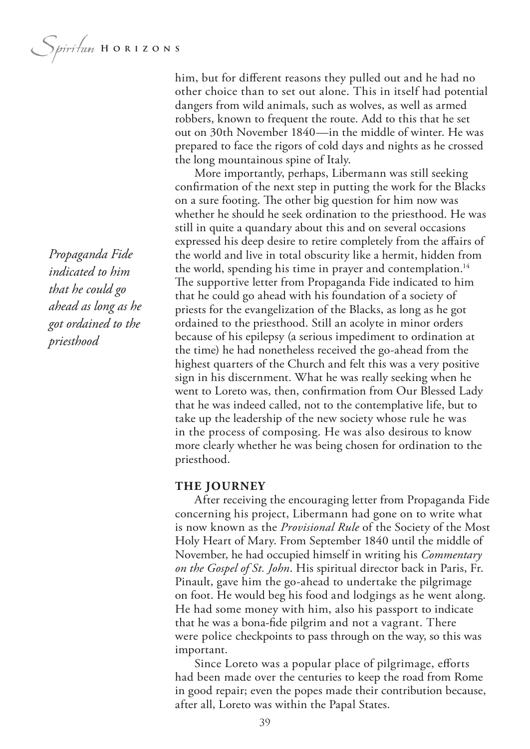*Propaganda Fide indicated to him that he could go ahead as long as he got ordained to the priesthood*

him, but for diferent reasons they pulled out and he had no other choice than to set out alone. This in itself had potential dangers from wild animals, such as wolves, as well as armed robbers, known to frequent the route. Add to this that he set out on 30th November 1840—in the middle of winter. He was prepared to face the rigors of cold days and nights as he crossed the long mountainous spine of Italy.

More importantly, perhaps, Libermann was still seeking confrmation of the next step in putting the work for the Blacks on a sure footing. The other big question for him now was whether he should he seek ordination to the priesthood. He was still in quite a quandary about this and on several occasions expressed his deep desire to retire completely from the afairs of the world and live in total obscurity like a hermit, hidden from the world, spending his time in prayer and contemplation.<sup>14</sup> The supportive letter from Propaganda Fide indicated to him that he could go ahead with his foundation of a society of priests for the evangelization of the Blacks, as long as he got ordained to the priesthood. Still an acolyte in minor orders because of his epilepsy (a serious impediment to ordination at the time) he had nonetheless received the go-ahead from the highest quarters of the Church and felt this was a very positive sign in his discernment. What he was really seeking when he went to Loreto was, then, confrmation from Our Blessed Lady that he was indeed called, not to the contemplative life, but to take up the leadership of the new society whose rule he was in the process of composing. He was also desirous to know more clearly whether he was being chosen for ordination to the priesthood.

#### **THE JOURNEY**

After receiving the encouraging letter from Propaganda Fide concerning his project, Libermann had gone on to write what is now known as the *Provisional Rule* of the Society of the Most Holy Heart of Mary. From September 1840 until the middle of November, he had occupied himself in writing his *Commentary on the Gospel of St. John*. His spiritual director back in Paris, Fr. Pinault, gave him the go-ahead to undertake the pilgrimage on foot. He would beg his food and lodgings as he went along. He had some money with him, also his passport to indicate that he was a bona-fde pilgrim and not a vagrant. There were police checkpoints to pass through on the way, so this was important.

Since Loreto was a popular place of pilgrimage, efforts had been made over the centuries to keep the road from Rome in good repair; even the popes made their contribution because, after all, Loreto was within the Papal States.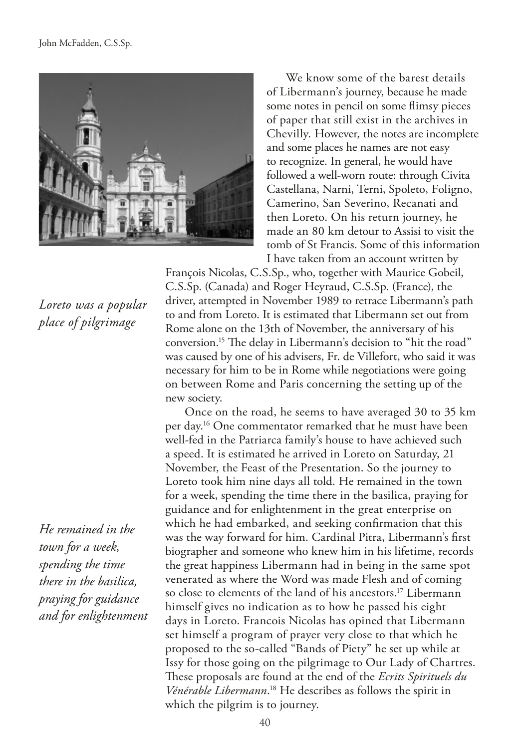

We know some of the barest details of Libermann's journey, because he made some notes in pencil on some fimsy pieces of paper that still exist in the archives in Chevilly. However, the notes are incomplete and some places he names are not easy to recognize. In general, he would have followed a well-worn route: through Civita Castellana, Narni, Terni, Spoleto, Foligno, Camerino, San Severino, Recanati and then Loreto. On his return journey, he made an 80 km detour to Assisi to visit the tomb of St Francis. Some of this information I have taken from an account written by

François Nicolas, C.S.Sp., who, together with Maurice Gobeil, C.S.Sp. (Canada) and Roger Heyraud, C.S.Sp. (France), the driver, attempted in November 1989 to retrace Libermann's path to and from Loreto. It is estimated that Libermann set out from Rome alone on the 13th of November, the anniversary of his conversion.<sup>15</sup> The delay in Libermann's decision to "hit the road" was caused by one of his advisers, Fr. de Villefort, who said it was necessary for him to be in Rome while negotiations were going on between Rome and Paris concerning the setting up of the new society.

Once on the road, he seems to have averaged 30 to 35 km per day.16 One commentator remarked that he must have been well-fed in the Patriarca family's house to have achieved such a speed. It is estimated he arrived in Loreto on Saturday, 21 November, the Feast of the Presentation. So the journey to Loreto took him nine days all told. He remained in the town for a week, spending the time there in the basilica, praying for guidance and for enlightenment in the great enterprise on which he had embarked, and seeking confrmation that this was the way forward for him. Cardinal Pitra, Libermann's frst biographer and someone who knew him in his lifetime, records the great happiness Libermann had in being in the same spot venerated as where the Word was made Flesh and of coming so close to elements of the land of his ancestors.<sup>17</sup> Libermann himself gives no indication as to how he passed his eight days in Loreto. Francois Nicolas has opined that Libermann set himself a program of prayer very close to that which he proposed to the so-called "Bands of Piety" he set up while at Issy for those going on the pilgrimage to Our Lady of Chartres. These proposals are found at the end of the *Ecrits Spirituels du Vénérable Libermann*. 18 He describes as follows the spirit in which the pilgrim is to journey.

*Loreto was a popular place of pilgrimage*

*He remained in the town for a week, spending the time there in the basilica, praying for guidance and for enlightenment*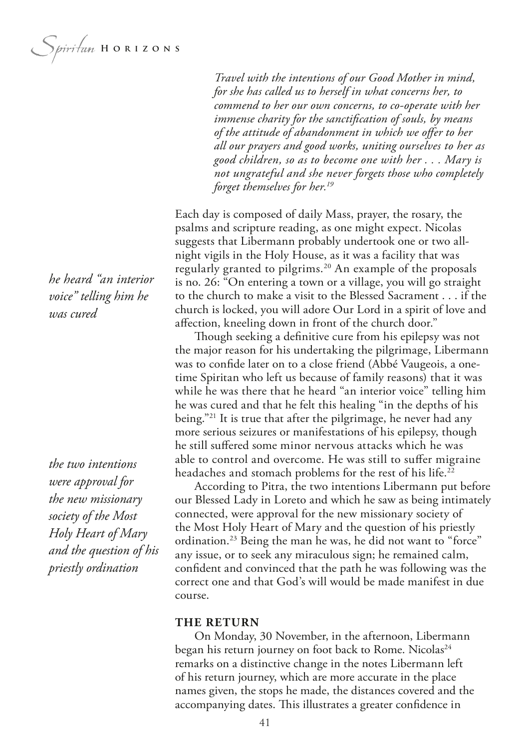*Spiritum* HORIZONS

*he heard "an interior voice" telling him he was cured*

*the two intentions were approval for the new missionary society of the Most Holy Heart of Mary and the question of his priestly ordination*

*Travel with the intentions of our Good Mother in mind, for she has called us to herself in what concerns her, to commend to her our own concerns, to co-operate with her immense charity for the sanctifcation of souls, by means of the attitude of abandonment in which we ofer to her all our prayers and good works, uniting ourselves to her as good children, so as to become one with her . . . Mary is not ungrateful and she never forgets those who completely forget themselves for her.19*

Each day is composed of daily Mass, prayer, the rosary, the psalms and scripture reading, as one might expect. Nicolas suggests that Libermann probably undertook one or two allnight vigils in the Holy House, as it was a facility that was regularly granted to pilgrims.<sup>20</sup> An example of the proposals is no. 26: "On entering a town or a village, you will go straight to the church to make a visit to the Blessed Sacrament . . . if the church is locked, you will adore Our Lord in a spirit of love and afection, kneeling down in front of the church door."

Though seeking a definitive cure from his epilepsy was not the major reason for his undertaking the pilgrimage, Libermann was to confde later on to a close friend (Abbé Vaugeois, a onetime Spiritan who left us because of family reasons) that it was while he was there that he heard "an interior voice" telling him he was cured and that he felt this healing "in the depths of his being."21 It is true that after the pilgrimage, he never had any more serious seizures or manifestations of his epilepsy, though he still sufered some minor nervous attacks which he was able to control and overcome. He was still to sufer migraine headaches and stomach problems for the rest of his life.<sup>22</sup>

According to Pitra, the two intentions Libermann put before our Blessed Lady in Loreto and which he saw as being intimately connected, were approval for the new missionary society of the Most Holy Heart of Mary and the question of his priestly ordination.<sup>23</sup> Being the man he was, he did not want to "force" any issue, or to seek any miraculous sign; he remained calm, confdent and convinced that the path he was following was the correct one and that God's will would be made manifest in due course.

#### **THE RETURN**

On Monday, 30 November, in the afternoon, Libermann began his return journey on foot back to Rome. Nicolas<sup>24</sup> remarks on a distinctive change in the notes Libermann left of his return journey, which are more accurate in the place names given, the stops he made, the distances covered and the accompanying dates. This illustrates a greater confidence in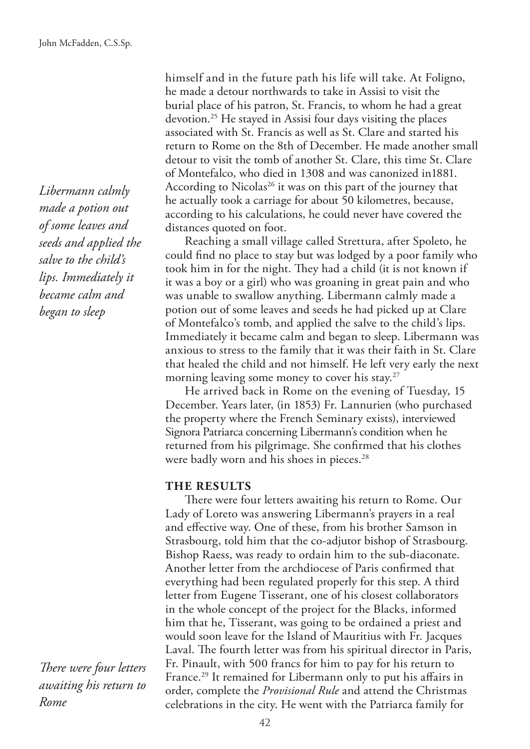*Libermann calmly made a potion out of some leaves and seeds and applied the salve to the child's lips. Immediately it became calm and began to sleep*

**There were four letters** *awaiting his return to Rome*

himself and in the future path his life will take. At Foligno, he made a detour northwards to take in Assisi to visit the burial place of his patron, St. Francis, to whom he had a great devotion.25 He stayed in Assisi four days visiting the places associated with St. Francis as well as St. Clare and started his return to Rome on the 8th of December. He made another small detour to visit the tomb of another St. Clare, this time St. Clare of Montefalco, who died in 1308 and was canonized in1881. According to Nicolas<sup>26</sup> it was on this part of the journey that he actually took a carriage for about 50 kilometres, because, according to his calculations, he could never have covered the distances quoted on foot.

Reaching a small village called Strettura, after Spoleto, he could fnd no place to stay but was lodged by a poor family who took him in for the night. They had a child (it is not known if it was a boy or a girl) who was groaning in great pain and who was unable to swallow anything. Libermann calmly made a potion out of some leaves and seeds he had picked up at Clare of Montefalco's tomb, and applied the salve to the child's lips. Immediately it became calm and began to sleep. Libermann was anxious to stress to the family that it was their faith in St. Clare that healed the child and not himself. He left very early the next morning leaving some money to cover his stay.<sup>27</sup>

He arrived back in Rome on the evening of Tuesday, 15 December. Years later, (in 1853) Fr. Lannurien (who purchased the property where the French Seminary exists), interviewed Signora Patriarca concerning Libermann's condition when he returned from his pilgrimage. She confrmed that his clothes were badly worn and his shoes in pieces.<sup>28</sup>

#### **THE RESULTS**

There were four letters awaiting his return to Rome. Our Lady of Loreto was answering Libermann's prayers in a real and efective way. One of these, from his brother Samson in Strasbourg, told him that the co-adjutor bishop of Strasbourg. Bishop Raess, was ready to ordain him to the sub-diaconate. Another letter from the archdiocese of Paris confrmed that everything had been regulated properly for this step. A third letter from Eugene Tisserant, one of his closest collaborators in the whole concept of the project for the Blacks, informed him that he, Tisserant, was going to be ordained a priest and would soon leave for the Island of Mauritius with Fr. Jacques Laval. The fourth letter was from his spiritual director in Paris, Fr. Pinault, with 500 francs for him to pay for his return to France.<sup>29</sup> It remained for Libermann only to put his affairs in order, complete the *Provisional Rule* and attend the Christmas celebrations in the city. He went with the Patriarca family for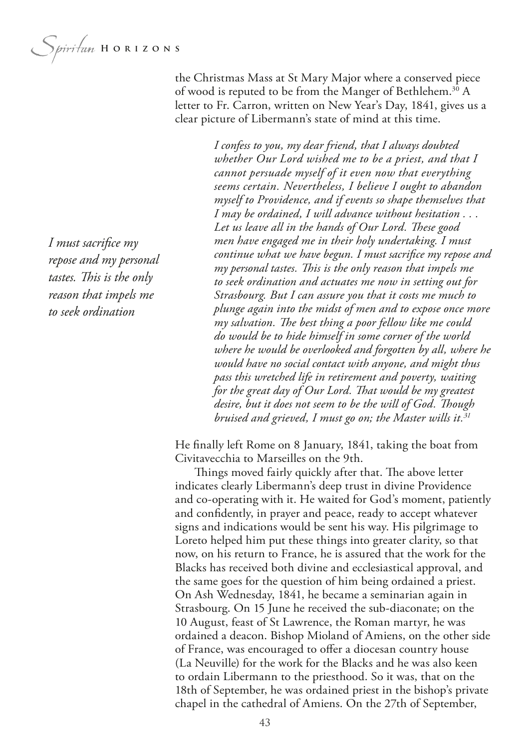Spiritan HORIZONS

the Christmas Mass at St Mary Major where a conserved piece of wood is reputed to be from the Manger of Bethlehem.<sup>30</sup> A letter to Fr. Carron, written on New Year's Day, 1841, gives us a clear picture of Libermann's state of mind at this time.

*I confess to you, my dear friend, that I always doubted* 

*whether Our Lord wished me to be a priest, and that I cannot persuade myself of it even now that everything seems certain. Nevertheless, I believe I ought to abandon myself to Providence, and if events so shape themselves that I may be ordained, I will advance without hesitation . . .*  Let us leave all in the hands of Our Lord. These good *men have engaged me in their holy undertaking. I must continue what we have begun. I must sacrifce my repose and my personal tastes. Tis is the only reason that impels me to seek ordination and actuates me now in setting out for Strasbourg. But I can assure you that it costs me much to plunge again into the midst of men and to expose once more my salvation. Te best thing a poor fellow like me could do would be to hide himself in some corner of the world where he would be overlooked and forgotten by all, where he would have no social contact with anyone, and might thus pass this wretched life in retirement and poverty, waiting*  for the great day of Our Lord. That would be my greatest *desire, but it does not seem to be the will of God. Tough bruised and grieved, I must go on; the Master wills it.31*

He fnally left Rome on 8 January, 1841, taking the boat from Civitavecchia to Marseilles on the 9th.

Things moved fairly quickly after that. The above letter indicates clearly Libermann's deep trust in divine Providence and co-operating with it. He waited for God's moment, patiently and confdently, in prayer and peace, ready to accept whatever signs and indications would be sent his way. His pilgrimage to Loreto helped him put these things into greater clarity, so that now, on his return to France, he is assured that the work for the Blacks has received both divine and ecclesiastical approval, and the same goes for the question of him being ordained a priest. On Ash Wednesday, 1841, he became a seminarian again in Strasbourg. On 15 June he received the sub-diaconate; on the 10 August, feast of St Lawrence, the Roman martyr, he was ordained a deacon. Bishop Mioland of Amiens, on the other side of France, was encouraged to ofer a diocesan country house (La Neuville) for the work for the Blacks and he was also keen to ordain Libermann to the priesthood. So it was, that on the 18th of September, he was ordained priest in the bishop's private chapel in the cathedral of Amiens. On the 27th of September,

*I must sacrifce my repose and my personal*  tastes. This is the only *reason that impels me to seek ordination*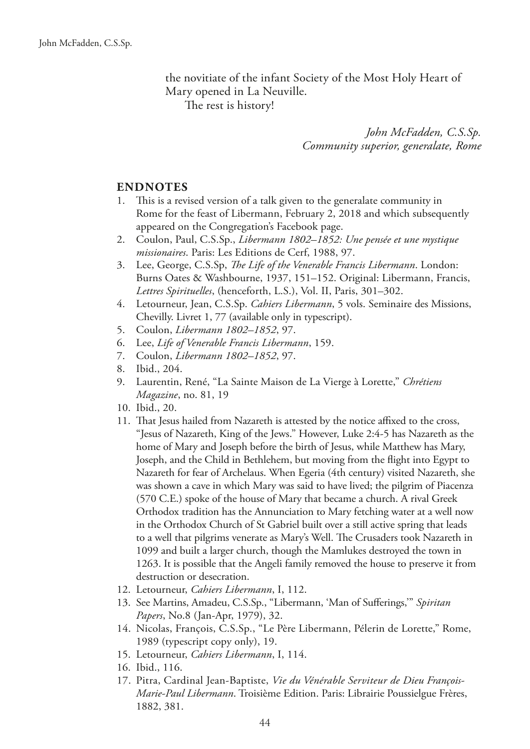the novitiate of the infant Society of the Most Holy Heart of Mary opened in La Neuville. The rest is history!

> *John McFadden, C.S.Sp. Community superior, generalate, Rome*

#### **ENDNOTES**

- 1. This is a revised version of a talk given to the generalate community in Rome for the feast of Libermann, February 2, 2018 and which subsequently appeared on the Congregation's Facebook page.
- 2. Coulon, Paul, C.S.Sp., *Libermann 1802–1852: Une pensée et une mystique missionaires*. Paris: Les Editions de Cerf, 1988, 97.
- 3. Lee, George, C.S.Sp, *Te Life of the Venerable Francis Libermann*. London: Burns Oates & Washbourne, 1937, 151–152. Original: Libermann, Francis, *Lettres Spirituelles*, (henceforth, L.S.), Vol. II, Paris, 301–302.
- 4. Letourneur, Jean, C.S.Sp. *Cahiers Libermann*, 5 vols. Seminaire des Missions, Chevilly. Livret 1, 77 (available only in typescript).
- 5. Coulon, *Libermann 1802–1852*, 97.
- 6. Lee, *Life of Venerable Francis Libermann*, 159.
- 7. Coulon, *Libermann 1802–1852*, 97.
- 8. Ibid., 204.
- 9. Laurentin, René, "La Sainte Maison de La Vierge à Lorette," *Chrétiens Magazine*, no. 81, 19
- 10. Ibid., 20.
- 11. That Jesus hailed from Nazareth is attested by the notice affixed to the cross, "Jesus of Nazareth, King of the Jews." However, Luke 2:4-5 has Nazareth as the home of Mary and Joseph before the birth of Jesus, while Matthew has Mary, Joseph, and the Child in Bethlehem, but moving from the fight into Egypt to Nazareth for fear of Archelaus. When Egeria (4th century) visited Nazareth, she was shown a cave in which Mary was said to have lived; the pilgrim of Piacenza (570 C.E.) spoke of the house of Mary that became a church. A rival Greek Orthodox tradition has the Annunciation to Mary fetching water at a well now in the Orthodox Church of St Gabriel built over a still active spring that leads to a well that pilgrims venerate as Mary's Well. The Crusaders took Nazareth in 1099 and built a larger church, though the Mamlukes destroyed the town in 1263. It is possible that the Angeli family removed the house to preserve it from destruction or desecration.
- 12. Letourneur, *Cahiers Libermann*, I, 112.
- 13. See Martins, Amadeu, C.S.Sp., "Libermann, 'Man of Suferings,'" *Spiritan Papers*, No.8 (Jan-Apr, 1979), 32.
- 14. Nicolas, François, C.S.Sp., "Le Père Libermann, Pélerin de Lorette," Rome, 1989 (typescript copy only), 19.
- 15. Letourneur, *Cahiers Libermann*, I, 114.
- 16. Ibid., 116.
- 17. Pitra, Cardinal Jean-Baptiste, *Vie du Vénérable Serviteur de Dieu François-Marie-Paul Libermann*. Troisième Edition. Paris: Librairie Poussielgue Frères, 1882, 381.